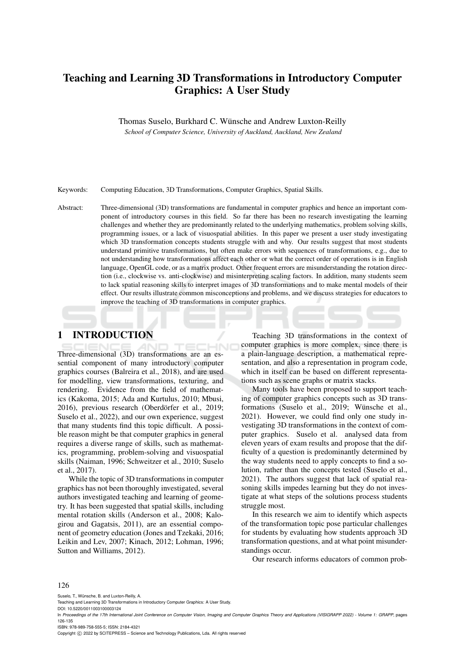# Teaching and Learning 3D Transformations in Introductory Computer Graphics: A User Study

Thomas Suselo, Burkhard C. Wünsche and Andrew Luxton-Reilly

*School of Computer Science, University of Auckland, Auckland, New Zealand*

Keywords: Computing Education, 3D Transformations, Computer Graphics, Spatial Skills.

Abstract: Three-dimensional (3D) transformations are fundamental in computer graphics and hence an important component of introductory courses in this field. So far there has been no research investigating the learning challenges and whether they are predominantly related to the underlying mathematics, problem solving skills, programming issues, or a lack of visuospatial abilities. In this paper we present a user study investigating which 3D transformation concepts students struggle with and why. Our results suggest that most students understand primitive transformations, but often make errors with sequences of transformations, e.g., due to not understanding how transformations affect each other or what the correct order of operations is in English language, OpenGL code, or as a matrix product. Other frequent errors are misunderstanding the rotation direction (i.e., clockwise vs. anti-clockwise) and misinterpreting scaling factors. In addition, many students seem to lack spatial reasoning skills to interpret images of 3D transformations and to make mental models of their effect. Our results illustrate common misconceptions and problems, and we discuss strategies for educators to improve the teaching of 3D transformations in computer graphics.

# 1 INTRODUCTION

Three-dimensional (3D) transformations are an essential component of many introductory computer graphics courses (Balreira et al., 2018), and are used for modelling, view transformations, texturing, and rendering. Evidence from the field of mathematics (Kakoma, 2015; Ada and Kurtulus, 2010; Mbusi, 2016), previous research (Oberdörfer et al., 2019; Suselo et al., 2022), and our own experience, suggest that many students find this topic difficult. A possible reason might be that computer graphics in general requires a diverse range of skills, such as mathematics, programming, problem-solving and visuospatial skills (Naiman, 1996; Schweitzer et al., 2010; Suselo et al., 2017).

While the topic of 3D transformations in computer graphics has not been thoroughly investigated, several authors investigated teaching and learning of geometry. It has been suggested that spatial skills, including mental rotation skills (Anderson et al., 2008; Kalogirou and Gagatsis, 2011), are an essential component of geometry education (Jones and Tzekaki, 2016; Leikin and Lev, 2007; Kinach, 2012; Lohman, 1996; Sutton and Williams, 2012).

Teaching 3D transformations in the context of computer graphics is more complex, since there is a plain-language description, a mathematical representation, and also a representation in program code, which in itself can be based on different representations such as scene graphs or matrix stacks.

Many tools have been proposed to support teaching of computer graphics concepts such as 3D transformations (Suselo et al., 2019; Wünsche et al., 2021). However, we could find only one study investigating 3D transformations in the context of computer graphics. Suselo et al. analysed data from eleven years of exam results and propose that the difficulty of a question is predominantly determined by the way students need to apply concepts to find a solution, rather than the concepts tested (Suselo et al., 2021). The authors suggest that lack of spatial reasoning skills impedes learning but they do not investigate at what steps of the solutions process students struggle most.

In this research we aim to identify which aspects of the transformation topic pose particular challenges for students by evaluating how students approach 3D transformation questions, and at what point misunderstandings occur.

Our research informs educators of common prob-

#### 126

Suselo, T., Wünsche, B. and Luxton-Reilly, A.

DOI: 10.5220/0011003100003124

ISBN: 978-989-758-555-5; ISSN: 2184-4321

Copyright (C) 2022 by SCITEPRESS - Science and Technology Publications, Lda. All rights reserved

Teaching and Learning 3D Transformations in Introductory Computer Graphics: A User Study.

In *Proceedings of the 17th International Joint Conference on Computer Vision, Imaging and Computer Graphics Theory and Applications (VISIGRAPP 2022) - Volume 1: GRAPP*, pages 126-135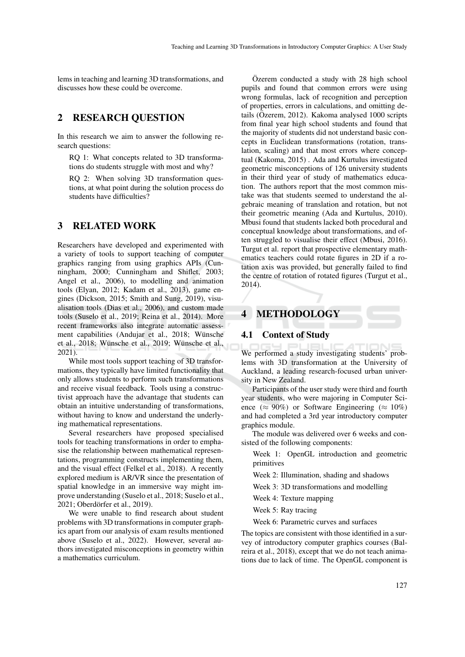lems in teaching and learning 3D transformations, and discusses how these could be overcome.

# 2 RESEARCH QUESTION

In this research we aim to answer the following research questions:

RQ 1: What concepts related to 3D transformations do students struggle with most and why?

RQ 2: When solving 3D transformation questions, at what point during the solution process do students have difficulties?

# 3 RELATED WORK

Researchers have developed and experimented with a variety of tools to support teaching of computer graphics ranging from using graphics APIs (Cunningham, 2000; Cunningham and Shiflet, 2003; Angel et al., 2006), to modelling and animation tools (Elyan, 2012; Kadam et al., 2013), game engines (Dickson, 2015; Smith and Sung, 2019), visualisation tools (Dias et al., 2006), and custom made tools (Suselo et al., 2019; Reina et al., 2014). More recent frameworks also integrate automatic assessment capabilities (Andujar et al., 2018; Wünsche et al., 2018; Wünsche et al., 2019; Wünsche et al., 2021).

While most tools support teaching of 3D transformations, they typically have limited functionality that only allows students to perform such transformations and receive visual feedback. Tools using a constructivist approach have the advantage that students can obtain an intuitive understanding of transformations, without having to know and understand the underlying mathematical representations.

Several researchers have proposed specialised tools for teaching transformations in order to emphasise the relationship between mathematical representations, programming constructs implementing them, and the visual effect (Felkel et al., 2018). A recently explored medium is AR/VR since the presentation of spatial knowledge in an immersive way might improve understanding (Suselo et al., 2018; Suselo et al., 2021; Oberdörfer et al., 2019).

We were unable to find research about student problems with 3D transformations in computer graphics apart from our analysis of exam results mentioned above (Suselo et al., 2022). However, several authors investigated misconceptions in geometry within a mathematics curriculum.

Özerem conducted a study with  $28$  high school pupils and found that common errors were using wrong formulas, lack of recognition and perception of properties, errors in calculations, and omitting details (Özerem, 2012). Kakoma analysed 1000 scripts from final year high school students and found that the majority of students did not understand basic concepts in Euclidean transformations (rotation, translation, scaling) and that most errors where conceptual (Kakoma, 2015) . Ada and Kurtulus investigated geometric misconceptions of 126 university students in their third year of study of mathematics education. The authors report that the most common mistake was that students seemed to understand the algebraic meaning of translation and rotation, but not their geometric meaning (Ada and Kurtulus, 2010). Mbusi found that students lacked both procedural and conceptual knowledge about transformations, and often struggled to visualise their effect (Mbusi, 2016). Turgut et al. report that prospective elementary mathematics teachers could rotate figures in 2D if a rotation axis was provided, but generally failed to find the centre of rotation of rotated figures (Turgut et al., 2014).

# **METHODOLOGY**

#### 4.1 Context of Study

We performed a study investigating students' problems with 3D transformation at the University of Auckland, a leading research-focused urban university in New Zealand.

Participants of the user study were third and fourth year students, who were majoring in Computer Science ( $\approx 90\%$ ) or Software Engineering ( $\approx 10\%$ ) and had completed a 3rd year introductory computer graphics module.

The module was delivered over 6 weeks and consisted of the following components:

Week 1: OpenGL introduction and geometric primitives

Week 2: Illumination, shading and shadows

Week 3: 3D transformations and modelling

Week 4: Texture mapping

Week 5: Ray tracing

Week 6: Parametric curves and surfaces

The topics are consistent with those identified in a survey of introductory computer graphics courses (Balreira et al., 2018), except that we do not teach animations due to lack of time. The OpenGL component is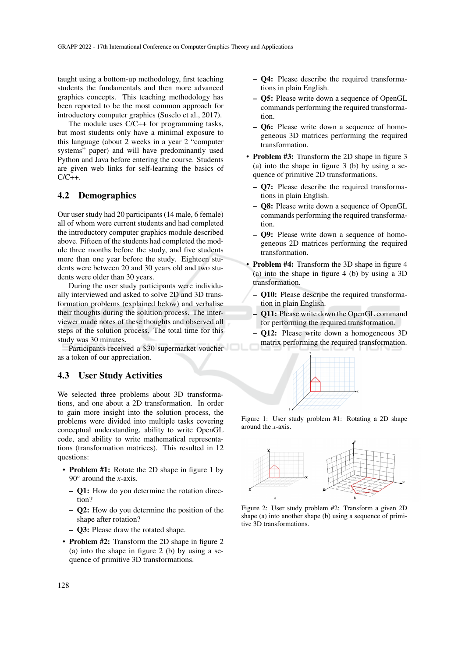taught using a bottom-up methodology, first teaching students the fundamentals and then more advanced graphics concepts. This teaching methodology has been reported to be the most common approach for introductory computer graphics (Suselo et al., 2017).

The module uses C/C++ for programming tasks, but most students only have a minimal exposure to this language (about 2 weeks in a year 2 "computer systems" paper) and will have predominantly used Python and Java before entering the course. Students are given web links for self-learning the basics of  $C/C++$ .

#### 4.2 Demographics

Our user study had 20 participants (14 male, 6 female) all of whom were current students and had completed the introductory computer graphics module described above. Fifteen of the students had completed the module three months before the study, and five students more than one year before the study. Eighteen students were between 20 and 30 years old and two students were older than 30 years.

During the user study participants were individually interviewed and asked to solve 2D and 3D transformation problems (explained below) and verbalise their thoughts during the solution process. The interviewer made notes of these thoughts and observed all steps of the solution process. The total time for this study was 30 minutes.

Participants received a \$30 supermarket voucher as a token of our appreciation.

#### 4.3 User Study Activities

We selected three problems about 3D transformations, and one about a 2D transformation. In order to gain more insight into the solution process, the problems were divided into multiple tasks covering conceptual understanding, ability to write OpenGL code, and ability to write mathematical representations (transformation matrices). This resulted in 12 questions:

- Problem #1: Rotate the 2D shape in figure 1 by 90◦ around the *x*-axis.
	- Q1: How do you determine the rotation direction?
	- Q2: How do you determine the position of the shape after rotation?
	- Q3: Please draw the rotated shape.
- Problem #2: Transform the 2D shape in figure 2 (a) into the shape in figure 2 (b) by using a sequence of primitive 3D transformations.
- Q4: Please describe the required transformations in plain English.
- Q5: Please write down a sequence of OpenGL commands performing the required transformation.
- Q6: Please write down a sequence of homogeneous 3D matrices performing the required transformation.
- Problem #3: Transform the 2D shape in figure 3 (a) into the shape in figure 3 (b) by using a sequence of primitive 2D transformations.
	- Q7: Please describe the required transformations in plain English.
	- Q8: Please write down a sequence of OpenGL commands performing the required transformation.
	- Q9: Please write down a sequence of homogeneous 2D matrices performing the required transformation.
- Problem #4: Transform the 3D shape in figure 4 (a) into the shape in figure 4 (b) by using a 3D transformation.
	- Q10: Please describe the required transformation in plain English.
	- Q11: Please write down the OpenGL command for performing the required transformation.
	- Q12: Please write down a homogeneous 3D matrix performing the required transformation.



Figure 1: User study problem #1: Rotating a 2D shape around the *x*-axis.



Figure 2: User study problem #2: Transform a given 2D shape (a) into another shape (b) using a sequence of primitive 3D transformations.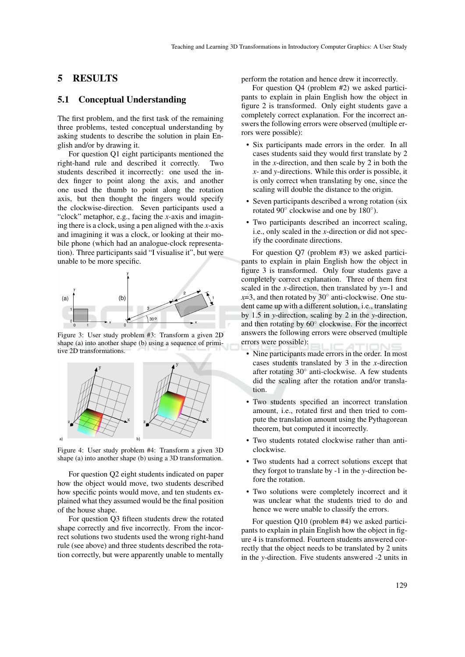## 5 RESULTS

### 5.1 Conceptual Understanding

The first problem, and the first task of the remaining three problems, tested conceptual understanding by asking students to describe the solution in plain English and/or by drawing it.

For question Q1 eight participants mentioned the right-hand rule and described it correctly. Two students described it incorrectly: one used the index finger to point along the axis, and another one used the thumb to point along the rotation axis, but then thought the fingers would specify the clockwise-direction. Seven participants used a "clock" metaphor, e.g., facing the *x*-axis and imagining there is a clock, using a pen aligned with the *x*-axis and imagining it was a clock, or looking at their mobile phone (which had an analogue-clock representation). Three participants said "I visualise it", but were unable to be more specific.



Figure 3: User study problem #3: Transform a given 2D shape (a) into another shape (b) using a sequence of primitive 2D transformations.



Figure 4: User study problem #4: Transform a given 3D shape (a) into another shape (b) using a 3D transformation.

For question Q2 eight students indicated on paper how the object would move, two students described how specific points would move, and ten students explained what they assumed would be the final position of the house shape.

For question Q3 fifteen students drew the rotated shape correctly and five incorrectly. From the incorrect solutions two students used the wrong right-hand rule (see above) and three students described the rotation correctly, but were apparently unable to mentally

perform the rotation and hence drew it incorrectly.

For question Q4 (problem #2) we asked participants to explain in plain English how the object in figure 2 is transformed. Only eight students gave a completely correct explanation. For the incorrect answers the following errors were observed (multiple errors were possible):

- Six participants made errors in the order. In all cases students said they would first translate by 2 in the *x*-direction, and then scale by 2 in both the *x*- and *y*-directions. While this order is possible, it is only correct when translating by one, since the scaling will double the distance to the origin.
- Seven participants described a wrong rotation (six rotated 90° clockwise and one by 180°).
- Two participants described an incorrect scaling, i.e., only scaled in the *x*-direction or did not specify the coordinate directions.

For question Q7 (problem #3) we asked participants to explain in plain English how the object in figure 3 is transformed. Only four students gave a completely correct explanation. Three of them first scaled in the *x*-direction, then translated by *y*=-1 and  $x=3$ , and then rotated by 30 $\degree$  anti-clockwise. One student came up with a different solution, i.e., translating by 1.5 in *y*-direction, scaling by 2 in the *y*-direction, and then rotating by 60◦ clockwise. For the incorrect answers the following errors were observed (multiple errors were possible):

- Nine participants made errors in the order. In most cases students translated by 3 in the *x*-direction after rotating 30◦ anti-clockwise. A few students did the scaling after the rotation and/or translation.
- Two students specified an incorrect translation amount, i.e., rotated first and then tried to compute the translation amount using the Pythagorean theorem, but computed it incorrectly.
- Two students rotated clockwise rather than anticlockwise.
- Two students had a correct solutions except that they forgot to translate by -1 in the *y*-direction before the rotation.
- Two solutions were completely incorrect and it was unclear what the students tried to do and hence we were unable to classify the errors.

For question Q10 (problem #4) we asked participants to explain in plain English how the object in figure 4 is transformed. Fourteen students answered correctly that the object needs to be translated by 2 units in the *y*-direction. Five students answered -2 units in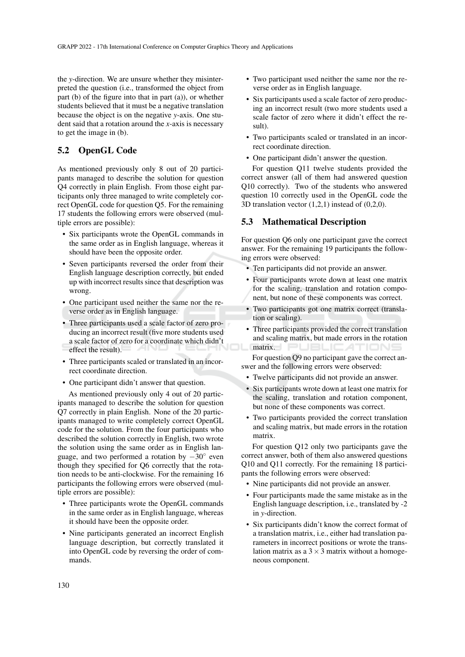the *y*-direction. We are unsure whether they misinterpreted the question (i.e., transformed the object from part (b) of the figure into that in part (a)), or whether students believed that it must be a negative translation because the object is on the negative *y*-axis. One student said that a rotation around the *x*-axis is necessary to get the image in (b).

## 5.2 OpenGL Code

As mentioned previously only 8 out of 20 participants managed to describe the solution for question Q4 correctly in plain English. From those eight participants only three managed to write completely correct OpenGL code for question Q5. For the remaining 17 students the following errors were observed (multiple errors are possible):

- Six participants wrote the OpenGL commands in the same order as in English language, whereas it should have been the opposite order.
- Seven participants reversed the order from their English language description correctly, but ended up with incorrect results since that description was wrong.
- One participant used neither the same nor the reverse order as in English language.
- Three participants used a scale factor of zero producing an incorrect result (five more students used a scale factor of zero for a coordinate which didn't effect the result).
- Three participants scaled or translated in an incorrect coordinate direction.
- One participant didn't answer that question.

As mentioned previously only 4 out of 20 participants managed to describe the solution for question Q7 correctly in plain English. None of the 20 participants managed to write completely correct OpenGL code for the solution. From the four participants who described the solution correctly in English, two wrote the solution using the same order as in English language, and two performed a rotation by −30◦ even though they specified for Q6 correctly that the rotation needs to be anti-clockwise. For the remaining 16 participants the following errors were observed (multiple errors are possible):

- Three participants wrote the OpenGL commands in the same order as in English language, whereas it should have been the opposite order.
- Nine participants generated an incorrect English language description, but correctly translated it into OpenGL code by reversing the order of commands.
- Two participant used neither the same nor the reverse order as in English language.
- Six participants used a scale factor of zero producing an incorrect result (two more students used a scale factor of zero where it didn't effect the result).
- Two participants scaled or translated in an incorrect coordinate direction.
- One participant didn't answer the question.

For question Q11 twelve students provided the correct answer (all of them had answered question Q10 correctly). Two of the students who answered question 10 correctly used in the OpenGL code the 3D translation vector (1,2,1) instead of (0,2,0).

#### 5.3 Mathematical Description

For question Q6 only one participant gave the correct answer. For the remaining 19 participants the following errors were observed:

- Ten participants did not provide an answer.
- Four participants wrote down at least one matrix for the scaling, translation and rotation component, but none of these components was correct.
- Two participants got one matrix correct (translation or scaling).
- Three participants provided the correct translation and scaling matrix, but made errors in the rotation matrix. PUBLICATIONS

For question Q9 no participant gave the correct answer and the following errors were observed:

- Twelve participants did not provide an answer.
- Six participants wrote down at least one matrix for the scaling, translation and rotation component, but none of these components was correct.
- Two participants provided the correct translation and scaling matrix, but made errors in the rotation matrix.

For question Q12 only two participants gave the correct answer, both of them also answered questions Q10 and Q11 correctly. For the remaining 18 participants the following errors were observed:

- Nine participants did not provide an answer.
- Four participants made the same mistake as in the English language description, i.e., translated by -2 in *y*-direction.
- Six participants didn't know the correct format of a translation matrix, i.e., either had translation parameters in incorrect positions or wrote the translation matrix as a  $3 \times 3$  matrix without a homogeneous component.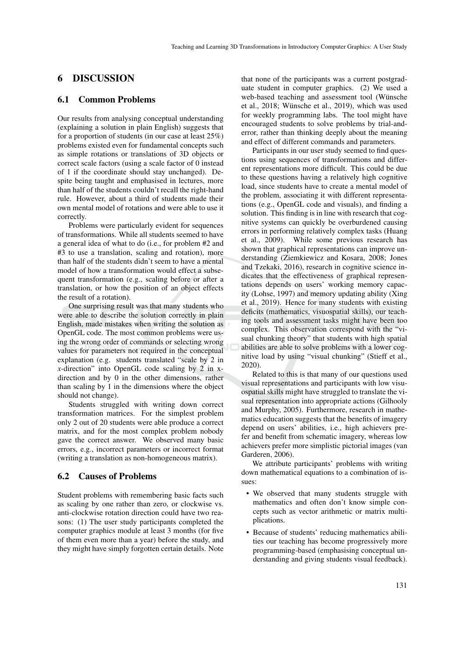### 6 DISCUSSION

#### 6.1 Common Problems

Our results from analysing conceptual understanding (explaining a solution in plain English) suggests that for a proportion of students (in our case at least 25%) problems existed even for fundamental concepts such as simple rotations or translations of 3D objects or correct scale factors (using a scale factor of 0 instead of 1 if the coordinate should stay unchanged). Despite being taught and emphasised in lectures, more than half of the students couldn't recall the right-hand rule. However, about a third of students made their own mental model of rotations and were able to use it correctly.

Problems were particularly evident for sequences of transformations. While all students seemed to have a general idea of what to do (i.e., for problem #2 and #3 to use a translation, scaling and rotation), more than half of the students didn't seem to have a mental model of how a transformation would effect a subsequent transformation (e.g., scaling before or after a translation, or how the position of an object effects the result of a rotation).

One surprising result was that many students who were able to describe the solution correctly in plain English, made mistakes when writing the solution as OpenGL code. The most common problems were using the wrong order of commands or selecting wrong values for parameters not required in the conceptual explanation (e.g. students translated "scale by 2 in *x*-direction" into OpenGL code scaling by 2 in xdirection and by 0 in the other dimensions, rather than scaling by 1 in the dimensions where the object should not change).

Students struggled with writing down correct transformation matrices. For the simplest problem only 2 out of 20 students were able produce a correct matrix, and for the most complex problem nobody gave the correct answer. We observed many basic errors, e.g., incorrect parameters or incorrect format (writing a translation as non-homogeneous matrix).

#### 6.2 Causes of Problems

Student problems with remembering basic facts such as scaling by one rather than zero, or clockwise vs. anti-clockwise rotation direction could have two reasons: (1) The user study participants completed the computer graphics module at least 3 months (for five of them even more than a year) before the study, and they might have simply forgotten certain details. Note

that none of the participants was a current postgraduate student in computer graphics. (2) We used a web-based teaching and assessment tool (Wünsche et al., 2018; Wünsche et al., 2019), which was used for weekly programming labs. The tool might have encouraged students to solve problems by trial-anderror, rather than thinking deeply about the meaning and effect of different commands and parameters.

Participants in our user study seemed to find questions using sequences of transformations and different representations more difficult. This could be due to these questions having a relatively high cognitive load, since students have to create a mental model of the problem, associating it with different representations (e.g., OpenGL code and visuals), and finding a solution. This finding is in line with research that cognitive systems can quickly be overburdened causing errors in performing relatively complex tasks (Huang et al., 2009). While some previous research has shown that graphical representations can improve understanding (Ziemkiewicz and Kosara, 2008; Jones and Tzekaki, 2016), research in cognitive science indicates that the effectiveness of graphical representations depends on users' working memory capacity (Lohse, 1997) and memory updating ability (Xing et al., 2019). Hence for many students with existing deficits (mathematics, visuospatial skills), our teaching tools and assessment tasks might have been too complex. This observation correspond with the "visual chunking theory" that students with high spatial abilities are able to solve problems with a lower cognitive load by using "visual chunking" (Stieff et al., 2020).

Related to this is that many of our questions used visual representations and participants with low visuospatial skills might have struggled to translate the visual representation into appropriate actions (Gilhooly and Murphy, 2005). Furthermore, research in mathematics education suggests that the benefits of imagery depend on users' abilities, i.e., high achievers prefer and benefit from schematic imagery, whereas low achievers prefer more simplistic pictorial images (van Garderen, 2006).

We attribute participants' problems with writing down mathematical equations to a combination of issues:

- We observed that many students struggle with mathematics and often don't know simple concepts such as vector arithmetic or matrix multiplications.
- Because of students' reducing mathematics abilities our teaching has become progressively more programming-based (emphasising conceptual understanding and giving students visual feedback).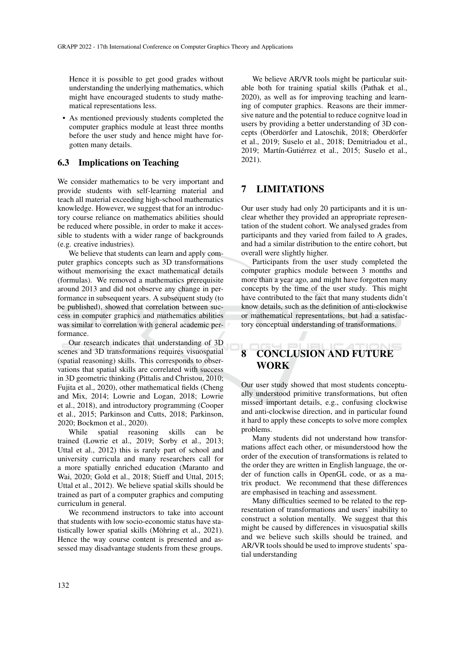Hence it is possible to get good grades without understanding the underlying mathematics, which might have encouraged students to study mathematical representations less.

• As mentioned previously students completed the computer graphics module at least three months before the user study and hence might have forgotten many details.

#### 6.3 Implications on Teaching

We consider mathematics to be very important and provide students with self-learning material and teach all material exceeding high-school mathematics knowledge. However, we suggest that for an introductory course reliance on mathematics abilities should be reduced where possible, in order to make it accessible to students with a wider range of backgrounds (e.g. creative industries).

We believe that students can learn and apply computer graphics concepts such as 3D transformations without memorising the exact mathematical details (formulas). We removed a mathematics prerequisite around 2013 and did not observe any change in performance in subsequent years. A subsequent study (to be published), showed that correlation between success in computer graphics and mathematics abilities was similar to correlation with general academic performance.

Our research indicates that understanding of 3D scenes and 3D transformations requires visuospatial (spatial reasoning) skills. This corresponds to observations that spatial skills are correlated with success in 3D geometric thinking (Pittalis and Christou, 2010; Fujita et al., 2020), other mathematical fields (Cheng and Mix, 2014; Lowrie and Logan, 2018; Lowrie et al., 2018), and introductory programming (Cooper et al., 2015; Parkinson and Cutts, 2018; Parkinson, 2020; Bockmon et al., 2020).

While spatial reasoning skills can be trained (Lowrie et al., 2019; Sorby et al., 2013; Uttal et al., 2012) this is rarely part of school and university curricula and many researchers call for a more spatially enriched education (Maranto and Wai, 2020; Gold et al., 2018; Stieff and Uttal, 2015; Uttal et al., 2012). We believe spatial skills should be trained as part of a computer graphics and computing curriculum in general.

We recommend instructors to take into account that students with low socio-economic status have statistically lower spatial skills (Möhring et al., 2021). Hence the way course content is presented and assessed may disadvantage students from these groups.

We believe AR/VR tools might be particular suitable both for training spatial skills (Pathak et al., 2020), as well as for improving teaching and learning of computer graphics. Reasons are their immersive nature and the potential to reduce cognitve load in users by providing a better understanding of 3D concepts (Oberdörfer and Latoschik, 2018; Oberdörfer et al., 2019; Suselo et al., 2018; Demitriadou et al., 2019; Martín-Gutiérrez et al., 2015; Suselo et al., 2021).

# 7 LIMITATIONS

Our user study had only 20 participants and it is unclear whether they provided an appropriate representation of the student cohort. We analysed grades from participants and they varied from failed to A grades, and had a similar distribution to the entire cohort, but overall were slightly higher.

Participants from the user study completed the computer graphics module between 3 months and more than a year ago, and might have forgotten many concepts by the time of the user study. This might have contributed to the fact that many students didn't know details, such as the definition of anti-clockwise or mathematical representations, but had a satisfactory conceptual understanding of transformations.

# 8 CONCLUSION AND FUTURE WORK

Our user study showed that most students conceptually understood primitive transformations, but often missed important details, e.g., confusing clockwise and anti-clockwise direction, and in particular found it hard to apply these concepts to solve more complex problems.

Many students did not understand how transformations affect each other, or misunderstood how the order of the execution of transformations is related to the order they are written in English language, the order of function calls in OpenGL code, or as a matrix product. We recommend that these differences are emphasised in teaching and assessment.

Many difficulties seemed to be related to the representation of transformations and users' inability to construct a solution mentally. We suggest that this might be caused by differences in visuospatial skills and we believe such skills should be trained, and AR/VR tools should be used to improve students' spatial understanding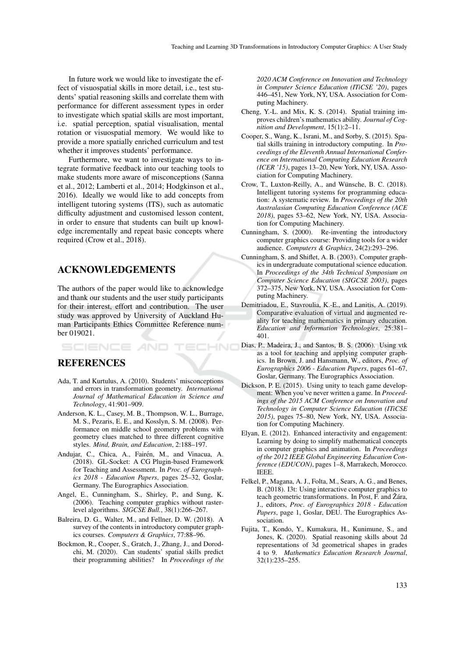In future work we would like to investigate the effect of visuospatial skills in more detail, i.e., test students' spatial reasoning skills and correlate them with performance for different assessment types in order to investigate which spatial skills are most important, i.e. spatial perception, spatial visualisation, mental rotation or visuospatial memory. We would like to provide a more spatially enriched curriculum and test whether it improves students' performance.

Furthermore, we want to investigate ways to integrate formative feedback into our teaching tools to make students more aware of misconceptions (Sanna et al., 2012; Lamberti et al., 2014; Hodgkinson et al., 2016). Ideally we would like to add concepts from intelligent tutoring systems (ITS), such as automatic difficulty adjustment and customised lesson content, in order to ensure that students can built up knowledge incrementally and repeat basic concepts where required (Crow et al., 2018).

# ACKNOWLEDGEMENTS

SCIENCE *A*ND

The authors of the paper would like to acknowledge and thank our students and the user study participants for their interest, effort and contribution. The user study was approved by University of Auckland Human Participants Ethics Committee Reference number 019021.

**HN** 

### REFERENCES

- Ada, T. and Kurtulus, A. (2010). Students' misconceptions and errors in transformation geometry. *International Journal of Mathematical Education in Science and Technology*, 41:901–909.
- Anderson, K. L., Casey, M. B., Thompson, W. L., Burrage, M. S., Pezaris, E. E., and Kosslyn, S. M. (2008). Performance on middle school geometry problems with geometry clues matched to three different cognitive styles. *Mind, Brain, and Education*, 2:188–197.
- Andujar, C., Chica, A., Fairén, M., and Vinacua, A. (2018). GL-Socket: A CG Plugin-based Framework for Teaching and Assessment. In *Proc. of Eurographics 2018 - Education Papers*, pages 25–32, Goslar, Germany. The Eurographics Association.
- Angel, E., Cunningham, S., Shirley, P., and Sung, K. (2006). Teaching computer graphics without rasterlevel algorithms. *SIGCSE Bull.*, 38(1):266–267.
- Balreira, D. G., Walter, M., and Fellner, D. W. (2018). A survey of the contents in introductory computer graphics courses. *Computers & Graphics*, 77:88–96.
- Bockmon, R., Cooper, S., Gratch, J., Zhang, J., and Dorodchi, M. (2020). Can students' spatial skills predict their programming abilities? In *Proceedings of the*

*2020 ACM Conference on Innovation and Technology in Computer Science Education (ITiCSE '20)*, pages 446–451, New York, NY, USA. Association for Computing Machinery.

- Cheng, Y.-L. and Mix, K. S. (2014). Spatial training improves children's mathematics ability. *Journal of Cognition and Development*, 15(1):2–11.
- Cooper, S., Wang, K., Israni, M., and Sorby, S. (2015). Spatial skills training in introductory computing. In *Proceedings of the Eleventh Annual International Conference on International Computing Education Research (ICER '15)*, pages 13–20, New York, NY, USA. Association for Computing Machinery.
- Crow, T., Luxton-Reilly, A., and Wunsche, B. C. (2018). ¨ Intelligent tutoring systems for programming education: A systematic review. In *Proceedings of the 20th Australasian Computing Education Conference (ACE 2018)*, pages 53–62, New York, NY, USA. Association for Computing Machinery.
- Cunningham, S. (2000). Re-inventing the introductory computer graphics course: Providing tools for a wider audience. *Computers & Graphics*, 24(2):293–296.
- Cunningham, S. and Shiflet, A. B. (2003). Computer graphics in undergraduate computational science education. In *Proceedings of the 34th Technical Symposium on Computer Science Education (SIGCSE 2003)*, pages 372–375, New York, NY, USA. Association for Computing Machinery.
- Demitriadou, E., Stavroulia, K.-E., and Lanitis, A. (2019). Comparative evaluation of virtual and augmented reality for teaching mathematics in primary education. *Education and Information Technologies*, 25:381– 401.
- Dias, P., Madeira, J., and Santos, B. S. (2006). Using vtk as a tool for teaching and applying computer graphics. In Brown, J. and Hansmann, W., editors, *Proc. of Eurographics 2006 - Education Papers*, pages 61–67, Goslar, Germany. The Eurographics Association.
- Dickson, P. E. (2015). Using unity to teach game development: When you've never written a game. In *Proceedings of the 2015 ACM Conference on Innovation and Technology in Computer Science Education (ITiCSE 2015)*, pages 75–80, New York, NY, USA. Association for Computing Machinery.
- Elyan, E. (2012). Enhanced interactivity and engagement: Learning by doing to simplify mathematical concepts in computer graphics and animation. In *Proceedings of the 2012 IEEE Global Engineering Education Conference (EDUCON)*, pages 1–8, Marrakech, Morocco. IEEE.
- Felkel, P., Magana, A. J., Folta, M., Sears, A. G., and Benes, B. (2018). I3t: Using interactive computer graphics to teach geometric transformations. In Post, F. and Žára, J., editors, *Proc. of Eurographics 2018 - Education Papers*, page 1, Goslar, DEU. The Eurographics Association.
- Fujita, T., Kondo, Y., Kumakura, H., Kunimune, S., and Jones, K. (2020). Spatial reasoning skills about 2d representations of 3d geometrical shapes in grades 4 to 9. *Mathematics Education Research Journal*, 32(1):235–255.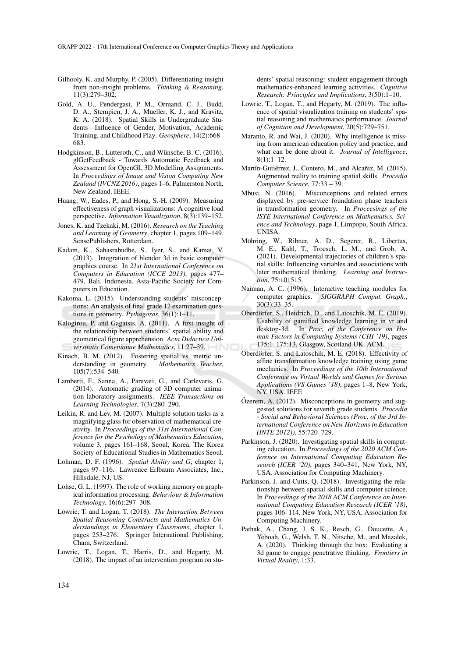- Gilhooly, K. and Murphy, P. (2005). Differentiating insight from non-insight problems. *Thinking & Reasoning*, 11(3):279–302.
- Gold, A. U., Pendergast, P. M., Ormand, C. J., Budd, D. A., Stempien, J. A., Mueller, K. J., and Kravitz, K. A. (2018). Spatial Skills in Undergraduate Students—Influence of Gender, Motivation, Academic Training, and Childhood Play. *Geosphere*, 14(2):668– 683.
- Hodgkinson, B., Lutteroth, C., and Wünsche, B. C. (2016). glGetFeedback - Towards Automatic Feedback and Assessment for OpenGL 3D Modelling Assignments. In *Proceedings of Image and Vision Computing New Zealand (IVCNZ 2016)*, pages 1–6, Palmerston North, New Zealand. IEEE.
- Huang, W., Eades, P., and Hong, S.-H. (2009). Measuring effectiveness of graph visualizations: A cognitive load perspective. *Information Visualization*, 8(3):139–152.
- Jones, K. and Tzekaki, M. (2016). *Research on the Teaching and Learning of Geometry*, chapter 1, pages 109–149. SensePublishers, Rotterdam.
- Kadam, K., Sahasrabudhe, S., Iyer, S., and Kamat, V. (2013). Integration of blender 3d in basic computer graphics course. In *21st International Conference on Computers in Education (ICCE 2013)*, pages 477– 479, Bali, Indonesia. Asia-Pacific Society for Computers in Education.
- Kakoma, L. (2015). Understanding students' misconceptions: An analysis of final grade 12 examination questions in geometry. *Pythagoras*, 36(1):1–11.
- Kalogirou, P. and Gagatsis, A. (2011). A first insight of the relationship between students' spatial ability and geometrical figure apprehension. *Acta Didactica Universitatis Comenianae Mathematics*, 11:27–39. –IN
- Kinach, B. M. (2012). Fostering spatial vs. metric understanding in geometry. Mathematics Teacher, derstanding in geometry. 105(7):534–540.
- Lamberti, F., Sanna, A., Paravati, G., and Carlevaris, G. (2014). Automatic grading of 3D computer animation laboratory assignments. *IEEE Transactions on Learning Technologies*, 7(3):280–290.
- Leikin, R. and Lev, M. (2007). Multiple solution tasks as a magnifying glass for observation of mathematical creativity. In *Proceedings of the 31st International Conference for the Psychology of Mathematics Education*, volume 3, pages 161–168, Seoul, Korea. The Korea Society of Educational Studies in Mathematics Seoul.
- Lohman, D. F. (1996). *Spatial Ability and G*, chapter 1, pages 97–116. Lawrence Erlbaum Associates, Inc., Hillsdale, NJ, US.
- Lohse, G. L. (1997). The role of working memory on graphical information processing. *Behaviour & Information Technology*, 16(6):297–308.
- Lowrie, T. and Logan, T. (2018). *The Interaction Between Spatial Reasoning Constructs and Mathematics Understandings in Elementary Classrooms*, chapter 1, pages 253–276. Springer International Publishing, Cham, Switzerland.
- Lowrie, T., Logan, T., Harris, D., and Hegarty, M. (2018). The impact of an intervention program on stu-

dents' spatial reasoning: student engagement through mathematics-enhanced learning activities. *Cognitive Research: Principles and Implications*, 3(50):1–10.

- Lowrie, T., Logan, T., and Hegarty, M. (2019). The influence of spatial visualization training on students' spatial reasoning and mathematics performance. *Journal of Cognition and Development*, 20(5):729–751.
- Maranto, R. and Wai, J. (2020). Why intelligence is missing from american education policy and practice, and what can be done about it. *Journal of Intelligence*, 8(1):1–12.
- Martín-Gutiérrez, J., Contero, M., and Alcañiz, M. (2015). Augmented reality to training spatial skills. *Procedia Computer Science*, 77:33 – 39.
- Mbusi, N. (2016). Misconceptions and related errors displayed by pre-service foundation phase teachers in transformation geometry. In *Proceesings of the ISTE International Conference on Mathematics, Science and Technology*, page 1, Limpopo, South Africa. UNISA.
- Möhring, W., Ribner, A. D., Segerer, R., Libertus, M. E., Kahl, T., Troesch, L. M., and Grob, A. (2021). Developmental trajectories of children's spatial skills: Influencing variables and associations with later mathematical thinking. *Learning and Instruction*, 75:101515.
- Naiman, A. C. (1996). Interactive teaching modules for computer graphics. *SIGGRAPH Comput. Graph.*, 30(3):33–35.
- Oberdörfer, S., Heidrich, D., and Latoschik, M. E. (2019). Usability of gamified knowledge learning in vr and desktop-3d. In *Proc, of the Conference on Human Factors in Computing Systems (CHI '19)*, pages 175:1–175:13, Glasgow, Scotland UK. ACM.
- Oberdörfer, S. and Latoschik, M. E. (2018). Effectivity of affine transformation knowledge training using game mechanics. In *Proceedings of the 10th International Conference on Virtual Worlds and Games for Serious Applications (VS Games '18)*, pages 1–8, New York, NY, USA. IEEE.
- Özerem, A.  $(2012)$ . Misconceptions in geometry and suggested solutions for seventh grade students. *Procedia - Social and Behavioral Sciences (Proc. of the 3rd International Conference on New Horizons in Education (INTE 2012))*, 55:720–729.
- Parkinson, J. (2020). Investigating spatial skills in computing education. In *Proceedings of the 2020 ACM Conference on International Computing Education Research (ICER '20)*, pages 340–341, New York, NY, USA. Association for Computing Machinery.
- Parkinson, J. and Cutts, Q. (2018). Investigating the relationship between spatial skills and computer science. In *Proceedings of the 2018 ACM Conference on International Computing Education Research (ICER '18)*, pages 106–114, New York, NY, USA. Association for Computing Machinery.
- Pathak, A., Chang, J. S. K., Resch, G., Doucette, A., Yeboah, G., Welsh, T. N., Nitsche, M., and Mazalek, A. (2020). Thinking through the box: Evaluating a 3d game to engage penetrative thinking. *Frontiers in Virtual Reality*, 1:33.